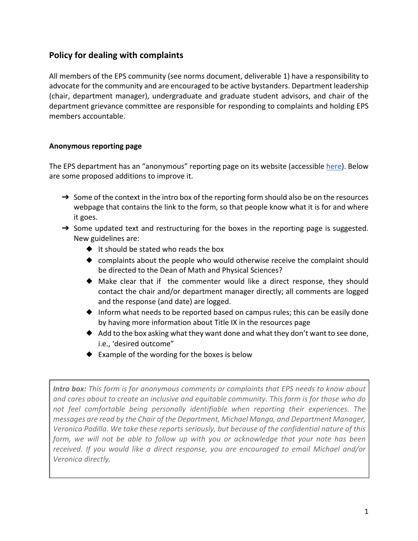## **Policy for dealing with complaints**

All members of the EPS community (see norms document, deliverable 1) have a responsibility to advocate for the community and are encouraged to be active bystanders. Department leadership (chair, department manager), undergraduate and graduate student advisors, and chair of the department grievance committee are responsible for responding to complaints and holding EPS members accountable.

## **Anonymous reporting page**

The EPS department has an "anonymous" reporting page on its website (accessible here). Below are some proposed additions to improve it.

- → Some of the context in the intro box of the reporting form should also be on the resources webpage that contains the link to the form, so that people know what it is for and where it goes.
- → Some updated text and restructuring for the boxes in the reporting page is suggested. New guidelines are:
	- ◆ It should be stated who reads the box
	- ◆ complaints about the people who would otherwise receive the complaint should be directed to the Dean of Math and Physical Sciences?
	- ◆ Make clear that if the commenter would like a direct response, they should contact the chair and/or department manager directly; all comments are logged and the response (and date) are logged.
	- ◆ Inform what needs to be reported based on campus rules; this can be easily done by having more information about Title IX in the resources page
	- ◆ Add to the box asking what they want done and what they don't want to see done, i.e., 'desired outcome"
	- ◆ Example of the wording for the boxes is below

*Intro box: This form is for anonymous comments or complaints that EPS needs to know about and cares about to create an inclusive and equitable community. This form is for those who do not feel comfortable being personally identifiable when reporting their experiences. The messages are read by the Chair of the Department, Michael Manga, and Department Manager, Veronica Padilla. We take these reports seriously, but because of the confidential nature of this form, we will not be able to follow up with you or acknowledge that your note has been received. If you would like a direct response, you are encouraged to email Michael and/or Veronica directly.*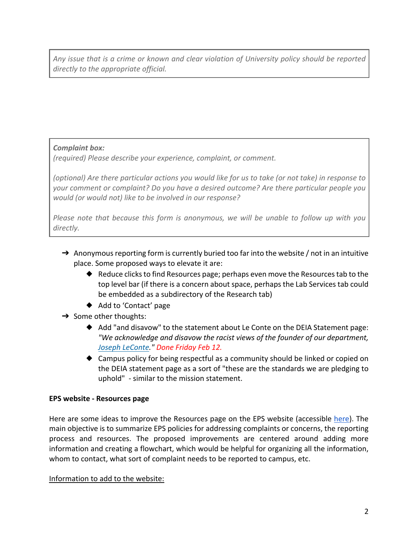*Any issue that is a crime or known and clear violation of University policy should be reported directly to the appropriate official.*

*Complaint box:* 

*(required) Please describe your experience, complaint, or comment.*

*(optional) Are there particular actions you would like for us to take (or not take) in response to your comment or complaint? Do you have a desired outcome? Are there particular people you would (or would not) like to be involved in our response?*

*Please note that because this form is anonymous, we will be unable to follow up with you directly.*

- $\rightarrow$  Anonymous reporting form is currently buried too far into the website / not in an intuitive place. Some proposed ways to elevate it are:
	- ◆ Reduce clicks to find Resources page; perhaps even move the Resources tab to the top level bar (if there is a concern about space, perhaps the Lab Services tab could be embedded as a subdirectory of the Research tab)
	- ◆ Add to 'Contact' page
- $\rightarrow$  Some other thoughts:
	- ◆ Add "and disavow" to the statement about Le Conte on the DEIA Statement page: *"We acknowledge and disavow the racist views of the founder of our department, Joseph LeConte." Done Friday Feb 12.*
	- ◆ Campus policy for being respectful as a community should be linked or copied on the DEIA statement page as a sort of "these are the standards we are pledging to uphold" - similar to the mission statement.

## **EPS website - Resources page**

Here are some ideas to improve the Resources page on the EPS website (accessible here). The main objective is to summarize EPS policies for addressing complaints or concerns, the reporting process and resources. The proposed improvements are centered around adding more information and creating a flowchart, which would be helpful for organizing all the information, whom to contact, what sort of complaint needs to be reported to campus, etc.

Information to add to the website: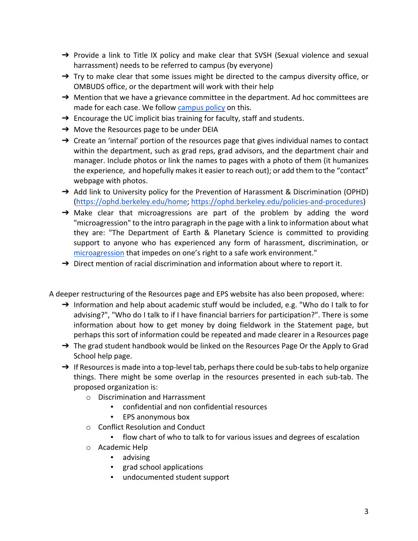- → Provide a link to Title IX policy and make clear that SVSH (Sexual violence and sexual harrassment) needs to be referred to campus (by everyone)
- $\rightarrow$  Try to make clear that some issues might be directed to the campus diversity office, or OMBUDS office, or the department will work with their help
- → Mention that we have a grievance committee in the department. Ad hoc committees are made for each case. We follow campus policy on this.
- $\rightarrow$  Encourage the UC implicit bias training for faculty, staff and students.
- → Move the Resources page to be under DEIA
- $\rightarrow$  Create an 'internal' portion of the resources page that gives individual names to contact within the department, such as grad reps, grad advisors, and the department chair and manager. Include photos or link the names to pages with a photo of them (it humanizes the experience, and hopefully makes it easier to reach out); or add them to the "contact" webpage with photos.
- → Add link to University policy for the Prevention of Harassment & Discrimination (OPHD) (https://ophd.berkeley.edu/home; https://ophd.berkeley.edu/policies-and-procedures)
- $\rightarrow$  Make clear that microagressions are part of the problem by adding the word "microagression" to the intro paragraph in the page with a link to information about what they are: "The Department of Earth & Planetary Science is committed to providing support to anyone who has experienced any form of harassment, discrimination, or microagression that impedes on one's right to a safe work environment."
- $\rightarrow$  Direct mention of racial discrimination and information about where to report it.

A deeper restructuring of the Resources page and EPS website has also been proposed, where:

- → Information and help about academic stuff would be included, e.g. "Who do I talk to for advising?", "Who do I talk to if I have financial barriers for participation?". There is some information about how to get money by doing fieldwork in the Statement page, but perhaps this sort of information could be repeated and made clearer in a Resources page
- → The grad student handbook would be linked on the Resources Page Or the Apply to Grad School help page.
- $\rightarrow$  If Resources is made into a top-level tab, perhaps there could be sub-tabs to help organize things. There might be some overlap in the resources presented in each sub-tab. The proposed organization is:
	- o Discrimination and Harrassment
		- confidential and non confidential resources
		- EPS anonymous box
	- o Conflict Resolution and Conduct
		- flow chart of who to talk to for various issues and degrees of escalation
	- o Academic Help
		- advising
		- grad school applications
		- undocumented student support